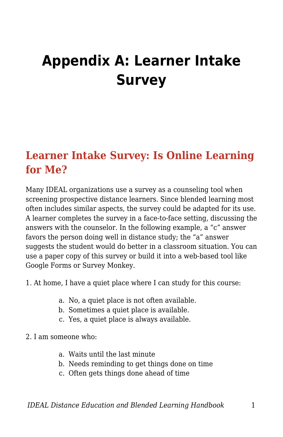## **Appendix A: Learner Intake Survey**

## **Learner Intake Survey: Is Online Learning for Me?**

Many IDEAL organizations use a survey as a counseling tool when screening prospective distance learners. Since blended learning most often includes similar aspects, the survey could be adapted for its use. A learner completes the survey in a face-to-face setting, discussing the answers with the counselor. In the following example, a "c" answer favors the person doing well in distance study; the "a" answer suggests the student would do better in a classroom situation. You can use a paper copy of this survey or build it into a web-based tool like Google Forms or Survey Monkey.

- 1. At home, I have a quiet place where I can study for this course:
	- a. No, a quiet place is not often available.
	- b. Sometimes a quiet place is available.
	- c. Yes, a quiet place is always available.
- 2. I am someone who:
	- a. Waits until the last minute
	- b. Needs reminding to get things done on time
	- c. Often gets things done ahead of time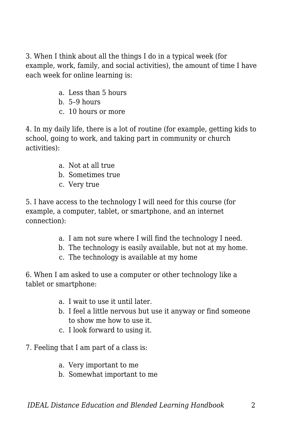3. When I think about all the things I do in a typical week (for example, work, family, and social activities), the amount of time I have each week for online learning is:

- a. Less than 5 hours
- b. 5–9 hours
- c. 10 hours or more

4. In my daily life, there is a lot of routine (for example, getting kids to school, going to work, and taking part in community or church activities):

- a. Not at all true
- b. Sometimes true
- c. Very true

5. I have access to the technology I will need for this course (for example, a computer, tablet, or smartphone, and an internet connection):

- a. I am not sure where I will find the technology I need.
- b. The technology is easily available, but not at my home.
- c. The technology is available at my home

6. When I am asked to use a computer or other technology like a tablet or smartphone:

- a. I wait to use it until later.
- b. I feel a little nervous but use it anyway or find someone to show me how to use it.
- c. I look forward to using it.
- 7. Feeling that I am part of a class is:
	- a. Very important to me
	- b. Somewhat important to me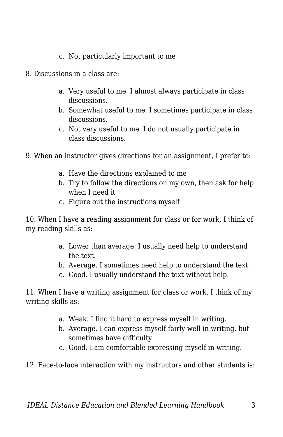- c. Not particularly important to me
- 8. Discussions in a class are:
	- a. Very useful to me. I almost always participate in class discussions.
	- b. Somewhat useful to me. I sometimes participate in class discussions.
	- c. Not very useful to me. I do not usually participate in class discussions.
- 9. When an instructor gives directions for an assignment, I prefer to:
	- a. Have the directions explained to me
	- b. Try to follow the directions on my own, then ask for help when I need it
	- c. Figure out the instructions myself

10. When I have a reading assignment for class or for work, I think of my reading skills as:

- a. Lower than average. I usually need help to understand the text.
- b. Average. I sometimes need help to understand the text.
- c. Good. I usually understand the text without help.

11. When I have a writing assignment for class or work, I think of my writing skills as:

- a. Weak. I find it hard to express myself in writing.
- b. Average. I can express myself fairly well in writing, but sometimes have difficulty.
- c. Good. I am comfortable expressing myself in writing.

12. Face-to-face interaction with my instructors and other students is: